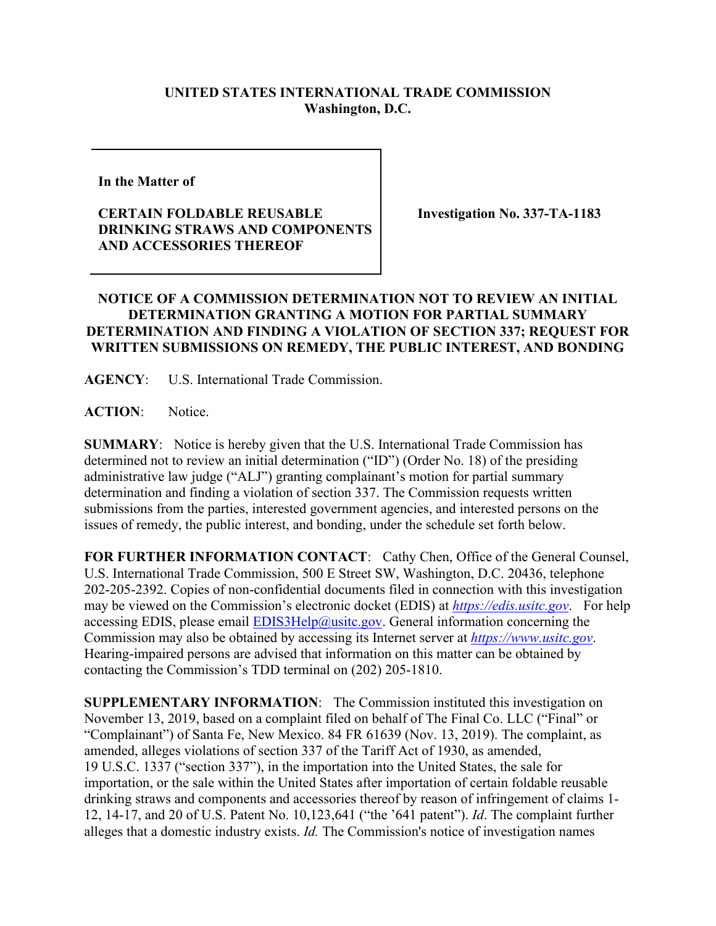## **UNITED STATES INTERNATIONAL TRADE COMMISSION Washington, D.C.**

**In the Matter of** 

## **CERTAIN FOLDABLE REUSABLE DRINKING STRAWS AND COMPONENTS AND ACCESSORIES THEREOF**

**Investigation No. 337-TA-1183**

## **NOTICE OF A COMMISSION DETERMINATION NOT TO REVIEW AN INITIAL DETERMINATION GRANTING A MOTION FOR PARTIAL SUMMARY DETERMINATION AND FINDING A VIOLATION OF SECTION 337; REQUEST FOR WRITTEN SUBMISSIONS ON REMEDY, THE PUBLIC INTEREST, AND BONDING**

**AGENCY**: U.S. International Trade Commission.

**ACTION**: Notice.

**SUMMARY**: Notice is hereby given that the U.S. International Trade Commission has determined not to review an initial determination ("ID") (Order No. 18) of the presiding administrative law judge ("ALJ") granting complainant's motion for partial summary determination and finding a violation of section 337. The Commission requests written submissions from the parties, interested government agencies, and interested persons on the issues of remedy, the public interest, and bonding, under the schedule set forth below.

**FOR FURTHER INFORMATION CONTACT**: Cathy Chen, Office of the General Counsel, U.S. International Trade Commission, 500 E Street SW, Washington, D.C. 20436, telephone 202-205-2392. Copies of non-confidential documents filed in connection with this investigation may be viewed on the Commission's electronic docket (EDIS) at *[https://edis.usitc.gov](https://edis.usitc.gov/)*. For help accessing EDIS, please email  $EDIS3Help@usite.gov$ . General information concerning the Commission may also be obtained by accessing its Internet server at *[https://www.usitc.gov](https://www.usitc.gov/)*. Hearing-impaired persons are advised that information on this matter can be obtained by contacting the Commission's TDD terminal on (202) 205-1810.

**SUPPLEMENTARY INFORMATION:** The Commission instituted this investigation on November 13, 2019, based on a complaint filed on behalf of The Final Co. LLC ("Final" or "Complainant") of Santa Fe, New Mexico. 84 FR 61639 (Nov. 13, 2019). The complaint, as amended, alleges violations of section 337 of the Tariff Act of 1930, as amended, 19 U.S.C. 1337 ("section 337"), in the importation into the United States, the sale for importation, or the sale within the United States after importation of certain foldable reusable drinking straws and components and accessories thereof by reason of infringement of claims 1- 12, 14-17, and 20 of U.S. Patent No. 10,123,641 ("the '641 patent"). *Id*. The complaint further alleges that a domestic industry exists. *Id.* The Commission's notice of investigation names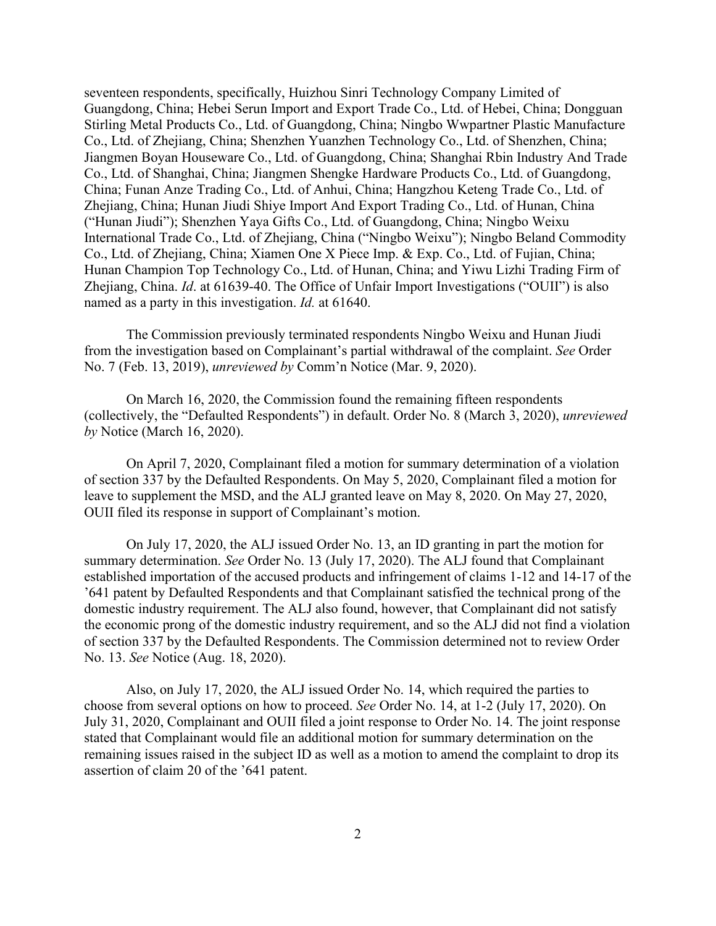seventeen respondents, specifically, Huizhou Sinri Technology Company Limited of Guangdong, China; Hebei Serun Import and Export Trade Co., Ltd. of Hebei, China; Dongguan Stirling Metal Products Co., Ltd. of Guangdong, China; Ningbo Wwpartner Plastic Manufacture Co., Ltd. of Zhejiang, China; Shenzhen Yuanzhen Technology Co., Ltd. of Shenzhen, China; Jiangmen Boyan Houseware Co., Ltd. of Guangdong, China; Shanghai Rbin Industry And Trade Co., Ltd. of Shanghai, China; Jiangmen Shengke Hardware Products Co., Ltd. of Guangdong, China; Funan Anze Trading Co., Ltd. of Anhui, China; Hangzhou Keteng Trade Co., Ltd. of Zhejiang, China; Hunan Jiudi Shiye Import And Export Trading Co., Ltd. of Hunan, China ("Hunan Jiudi"); Shenzhen Yaya Gifts Co., Ltd. of Guangdong, China; Ningbo Weixu International Trade Co., Ltd. of Zhejiang, China ("Ningbo Weixu"); Ningbo Beland Commodity Co., Ltd. of Zhejiang, China; Xiamen One X Piece Imp. & Exp. Co., Ltd. of Fujian, China; Hunan Champion Top Technology Co., Ltd. of Hunan, China; and Yiwu Lizhi Trading Firm of Zhejiang, China. *Id*. at 61639-40. The Office of Unfair Import Investigations ("OUII") is also named as a party in this investigation. *Id.* at 61640.

The Commission previously terminated respondents Ningbo Weixu and Hunan Jiudi from the investigation based on Complainant's partial withdrawal of the complaint. *See* Order No. 7 (Feb. 13, 2019), *unreviewed by* Comm'n Notice (Mar. 9, 2020).

On March 16, 2020, the Commission found the remaining fifteen respondents (collectively, the "Defaulted Respondents") in default. Order No. 8 (March 3, 2020), *unreviewed by* Notice (March 16, 2020).

On April 7, 2020, Complainant filed a motion for summary determination of a violation of section 337 by the Defaulted Respondents. On May 5, 2020, Complainant filed a motion for leave to supplement the MSD, and the ALJ granted leave on May 8, 2020. On May 27, 2020, OUII filed its response in support of Complainant's motion.

On July 17, 2020, the ALJ issued Order No. 13, an ID granting in part the motion for summary determination. *See* Order No. 13 (July 17, 2020). The ALJ found that Complainant established importation of the accused products and infringement of claims 1-12 and 14-17 of the '641 patent by Defaulted Respondents and that Complainant satisfied the technical prong of the domestic industry requirement. The ALJ also found, however, that Complainant did not satisfy the economic prong of the domestic industry requirement, and so the ALJ did not find a violation of section 337 by the Defaulted Respondents. The Commission determined not to review Order No. 13. *See* Notice (Aug. 18, 2020).

Also, on July 17, 2020, the ALJ issued Order No. 14, which required the parties to choose from several options on how to proceed. *See* Order No. 14, at 1-2 (July 17, 2020). On July 31, 2020, Complainant and OUII filed a joint response to Order No. 14. The joint response stated that Complainant would file an additional motion for summary determination on the remaining issues raised in the subject ID as well as a motion to amend the complaint to drop its assertion of claim 20 of the '641 patent.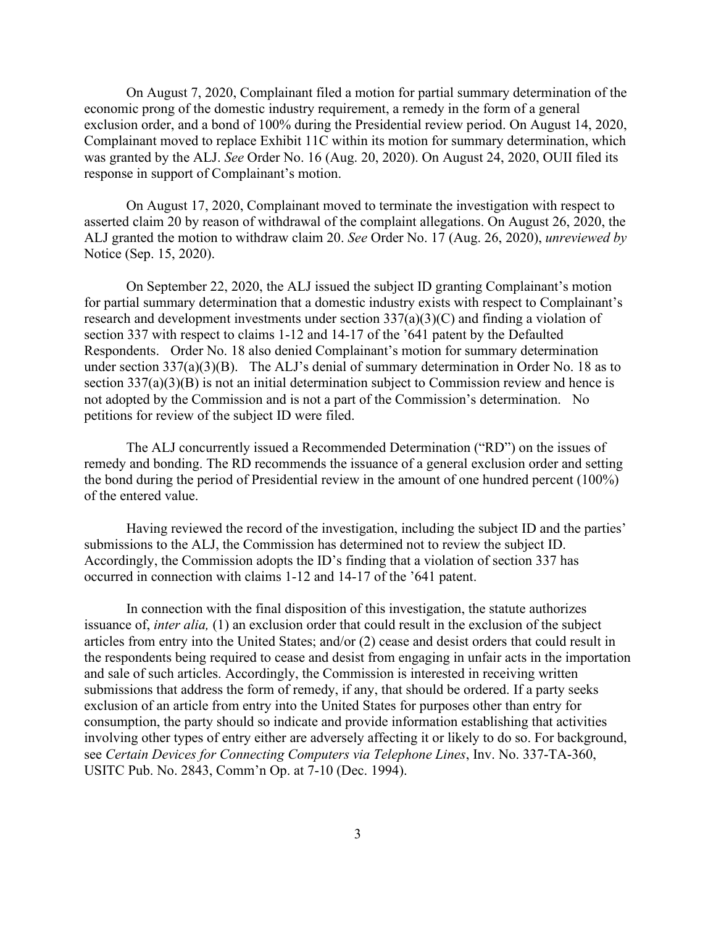On August 7, 2020, Complainant filed a motion for partial summary determination of the economic prong of the domestic industry requirement, a remedy in the form of a general exclusion order, and a bond of 100% during the Presidential review period. On August 14, 2020, Complainant moved to replace Exhibit 11C within its motion for summary determination, which was granted by the ALJ. *See* Order No. 16 (Aug. 20, 2020). On August 24, 2020, OUII filed its response in support of Complainant's motion.

On August 17, 2020, Complainant moved to terminate the investigation with respect to asserted claim 20 by reason of withdrawal of the complaint allegations. On August 26, 2020, the ALJ granted the motion to withdraw claim 20. *See* Order No. 17 (Aug. 26, 2020), *unreviewed by*  Notice (Sep. 15, 2020).

On September 22, 2020, the ALJ issued the subject ID granting Complainant's motion for partial summary determination that a domestic industry exists with respect to Complainant's research and development investments under section 337(a)(3)(C) and finding a violation of section 337 with respect to claims 1-12 and 14-17 of the '641 patent by the Defaulted Respondents. Order No. 18 also denied Complainant's motion for summary determination under section 337(a)(3)(B). The ALJ's denial of summary determination in Order No. 18 as to section 337(a)(3)(B) is not an initial determination subject to Commission review and hence is not adopted by the Commission and is not a part of the Commission's determination. No petitions for review of the subject ID were filed.

The ALJ concurrently issued a Recommended Determination ("RD") on the issues of remedy and bonding. The RD recommends the issuance of a general exclusion order and setting the bond during the period of Presidential review in the amount of one hundred percent (100%) of the entered value.

Having reviewed the record of the investigation, including the subject ID and the parties' submissions to the ALJ, the Commission has determined not to review the subject ID. Accordingly, the Commission adopts the ID's finding that a violation of section 337 has occurred in connection with claims 1-12 and 14-17 of the '641 patent.

In connection with the final disposition of this investigation, the statute authorizes issuance of, *inter alia,* (1) an exclusion order that could result in the exclusion of the subject articles from entry into the United States; and/or (2) cease and desist orders that could result in the respondents being required to cease and desist from engaging in unfair acts in the importation and sale of such articles. Accordingly, the Commission is interested in receiving written submissions that address the form of remedy, if any, that should be ordered. If a party seeks exclusion of an article from entry into the United States for purposes other than entry for consumption, the party should so indicate and provide information establishing that activities involving other types of entry either are adversely affecting it or likely to do so. For background, see *Certain Devices for Connecting Computers via Telephone Lines*, Inv. No. 337-TA-360, USITC Pub. No. 2843, Comm'n Op. at 7-10 (Dec. 1994).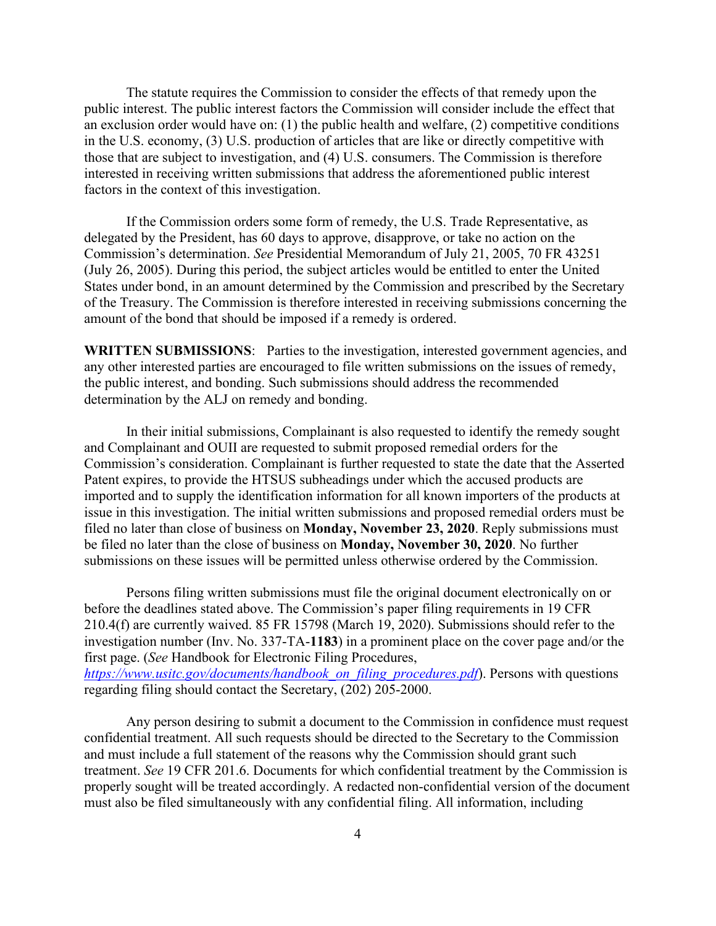The statute requires the Commission to consider the effects of that remedy upon the public interest. The public interest factors the Commission will consider include the effect that an exclusion order would have on: (1) the public health and welfare, (2) competitive conditions in the U.S. economy, (3) U.S. production of articles that are like or directly competitive with those that are subject to investigation, and (4) U.S. consumers. The Commission is therefore interested in receiving written submissions that address the aforementioned public interest factors in the context of this investigation.

If the Commission orders some form of remedy, the U.S. Trade Representative, as delegated by the President, has 60 days to approve, disapprove, or take no action on the Commission's determination. *See* Presidential Memorandum of July 21, 2005, 70 FR 43251 (July 26, 2005). During this period, the subject articles would be entitled to enter the United States under bond, in an amount determined by the Commission and prescribed by the Secretary of the Treasury. The Commission is therefore interested in receiving submissions concerning the amount of the bond that should be imposed if a remedy is ordered.

**WRITTEN SUBMISSIONS**: Parties to the investigation, interested government agencies, and any other interested parties are encouraged to file written submissions on the issues of remedy, the public interest, and bonding. Such submissions should address the recommended determination by the ALJ on remedy and bonding.

In their initial submissions, Complainant is also requested to identify the remedy sought and Complainant and OUII are requested to submit proposed remedial orders for the Commission's consideration. Complainant is further requested to state the date that the Asserted Patent expires, to provide the HTSUS subheadings under which the accused products are imported and to supply the identification information for all known importers of the products at issue in this investigation. The initial written submissions and proposed remedial orders must be filed no later than close of business on **Monday, November 23, 2020**. Reply submissions must be filed no later than the close of business on **Monday, November 30, 2020**. No further submissions on these issues will be permitted unless otherwise ordered by the Commission.

Persons filing written submissions must file the original document electronically on or before the deadlines stated above. The Commission's paper filing requirements in 19 CFR 210.4(f) are currently waived. 85 FR 15798 (March 19, 2020). Submissions should refer to the investigation number (Inv. No. 337-TA-**1183**) in a prominent place on the cover page and/or the first page. (*See* Handbook for Electronic Filing Procedures, *[https://www.usitc.gov/documents/handbook\\_on\\_filing\\_procedures.pdf](https://www.usitc.gov/documents/handbook_on_filing_procedures.pdf)*). Persons with questions regarding filing should contact the Secretary, (202) 205-2000.

Any person desiring to submit a document to the Commission in confidence must request confidential treatment. All such requests should be directed to the Secretary to the Commission and must include a full statement of the reasons why the Commission should grant such treatment. *See* 19 CFR 201.6. Documents for which confidential treatment by the Commission is properly sought will be treated accordingly. A redacted non-confidential version of the document must also be filed simultaneously with any confidential filing. All information, including